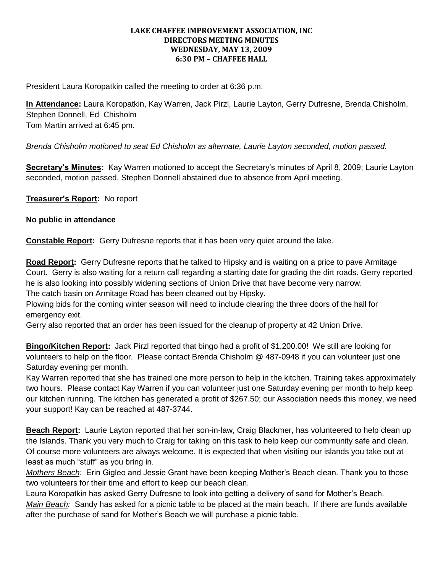## **LAKE CHAFFEE IMPROVEMENT ASSOCIATION, INC DIRECTORS MEETING MINUTES WEDNESDAY, MAY 13, 2009 6:30 PM – CHAFFEE HALL**

President Laura Koropatkin called the meeting to order at 6:36 p.m.

**In Attendance:** Laura Koropatkin, Kay Warren, Jack Pirzl, Laurie Layton, Gerry Dufresne, Brenda Chisholm, Stephen Donnell, Ed Chisholm Tom Martin arrived at 6:45 pm.

*Brenda Chisholm motioned to seat Ed Chisholm as alternate, Laurie Layton seconded, motion passed.*

**Secretary's Minutes:** Kay Warren motioned to accept the Secretary's minutes of April 8, 2009; Laurie Layton seconded, motion passed. Stephen Donnell abstained due to absence from April meeting.

**Treasurer's Report:** No report

## **No public in attendance**

**Constable Report:** Gerry Dufresne reports that it has been very quiet around the lake.

**Road Report:** Gerry Dufresne reports that he talked to Hipsky and is waiting on a price to pave Armitage Court. Gerry is also waiting for a return call regarding a starting date for grading the dirt roads. Gerry reported he is also looking into possibly widening sections of Union Drive that have become very narrow. The catch basin on Armitage Road has been cleaned out by Hipsky.

Plowing bids for the coming winter season will need to include clearing the three doors of the hall for emergency exit.

Gerry also reported that an order has been issued for the cleanup of property at 42 Union Drive.

**Bingo/Kitchen Report:** Jack Pirzl reported that bingo had a profit of \$1,200.00! We still are looking for volunteers to help on the floor. Please contact Brenda Chisholm @ 487-0948 if you can volunteer just one Saturday evening per month.

Kay Warren reported that she has trained one more person to help in the kitchen. Training takes approximately two hours. Please contact Kay Warren if you can volunteer just one Saturday evening per month to help keep our kitchen running. The kitchen has generated a profit of \$267.50; our Association needs this money, we need your support! Kay can be reached at 487-3744.

**Beach Report:** Laurie Layton reported that her son-in-law, Craig Blackmer, has volunteered to help clean up the Islands. Thank you very much to Craig for taking on this task to help keep our community safe and clean. Of course more volunteers are always welcome. It is expected that when visiting our islands you take out at least as much "stuff" as you bring in.

*Mothers Beach:* Erin Gigleo and Jessie Grant have been keeping Mother's Beach clean. Thank you to those two volunteers for their time and effort to keep our beach clean.

Laura Koropatkin has asked Gerry Dufresne to look into getting a delivery of sand for Mother's Beach.

*Main Beach:* Sandy has asked for a picnic table to be placed at the main beach. If there are funds available after the purchase of sand for Mother's Beach we will purchase a picnic table.